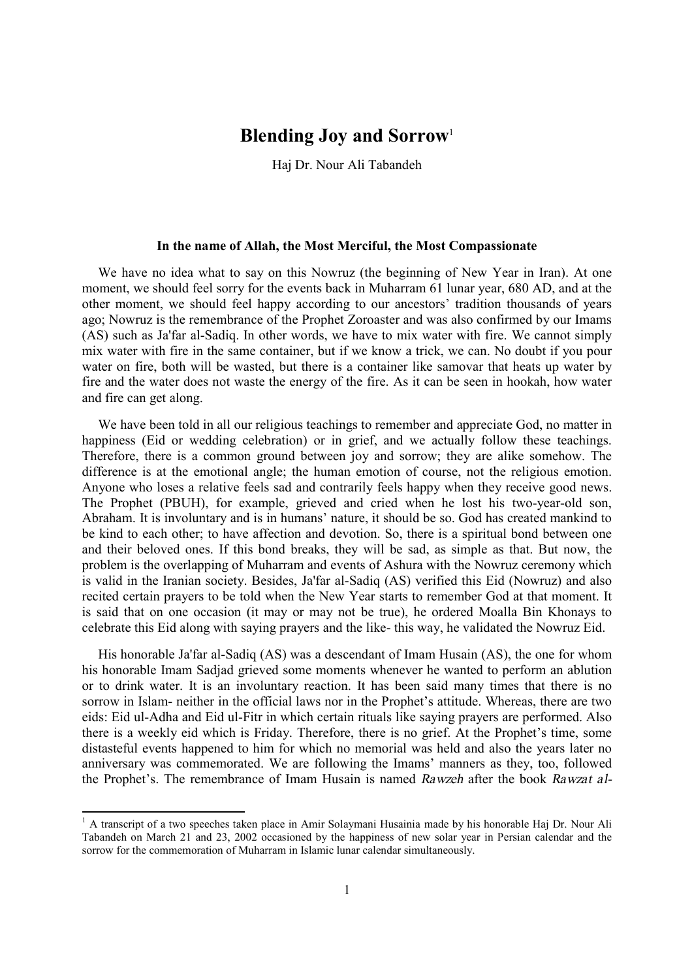## **Blending Joy and Sorrow**<sup>1</sup>

Haj Dr. Nour Ali Tabandeh

## **In the name of Allah, the Most Merciful, the Most Compassionate**

We have no idea what to say on this Nowruz (the beginning of New Year in Iran). At one moment, we should feel sorry for the events back in Muharram 61 lunar year, 680 AD, and at the other moment, we should feel happy according to our ancestors' tradition thousands of years ago; Nowruz is the remembrance of the Prophet Zoroaster and was also confirmed by our Imams (AS) such as Ja'far al-Sadiq. In other words, we have to mix water with fire. We cannot simply mix water with fire in the same container, but if we know a trick, we can. No doubt if you pour water on fire, both will be wasted, but there is a container like samovar that heats up water by fire and the water does not waste the energy of the fire. As it can be seen in hookah, how water and fire can get along.

We have been told in all our religious teachings to remember and appreciate God, no matter in happiness (Eid or wedding celebration) or in grief, and we actually follow these teachings. Therefore, there is a common ground between joy and sorrow; they are alike somehow. The difference is at the emotional angle; the human emotion of course, not the religious emotion. Anyone who loses a relative feels sad and contrarily feels happy when they receive good news. The Prophet (PBUH), for example, grieved and cried when he lost his two-year-old son, Abraham. It is involuntary and is in humans' nature, it should be so. God has created mankind to be kind to each other; to have affection and devotion. So, there is a spiritual bond between one and their beloved ones. If this bond breaks, they will be sad, as simple as that. But now, the problem is the overlapping of Muharram and events of Ashura with the Nowruz ceremony which is valid in the Iranian society. Besides, Ja'far al-Sadiq (AS) verified this Eid (Nowruz) and also recited certain prayers to be told when the New Year starts to remember God at that moment. It is said that on one occasion (it may or may not be true), he ordered Moalla Bin Khonays to celebrate this Eid along with saying prayers and the like- this way, he validated the Nowruz Eid.

His honorable Ja'far al-Sadiq (AS) was a descendant of Imam Husain (AS), the one for whom his honorable Imam Sadjad grieved some moments whenever he wanted to perform an ablution or to drink water. It is an involuntary reaction. It has been said many times that there is no sorrow in Islam- neither in the official laws nor in the Prophet's attitude. Whereas, there are two eids: Eid ul-Adha and Eid ul-Fitr in which certain rituals like saying prayers are performed. Also there is a weekly eid which is Friday. Therefore, there is no grief. At the Prophet's time, some distasteful events happened to him for which no memorial was held and also the years later no anniversary was commemorated. We are following the Imams' manners as they, too, followed the Prophet's. The remembrance of Imam Husain is named *Rawzeh* after the book *Rawzat al-*

l

<sup>&</sup>lt;sup>1</sup> A transcript of a two speeches taken place in Amir Solaymani Husainia made by his honorable Haj Dr. Nour Ali Tabandeh on March 21 and 23, 2002 occasioned by the happiness of new solar year in Persian calendar and the sorrow for the commemoration of Muharram in Islamic lunar calendar simultaneously.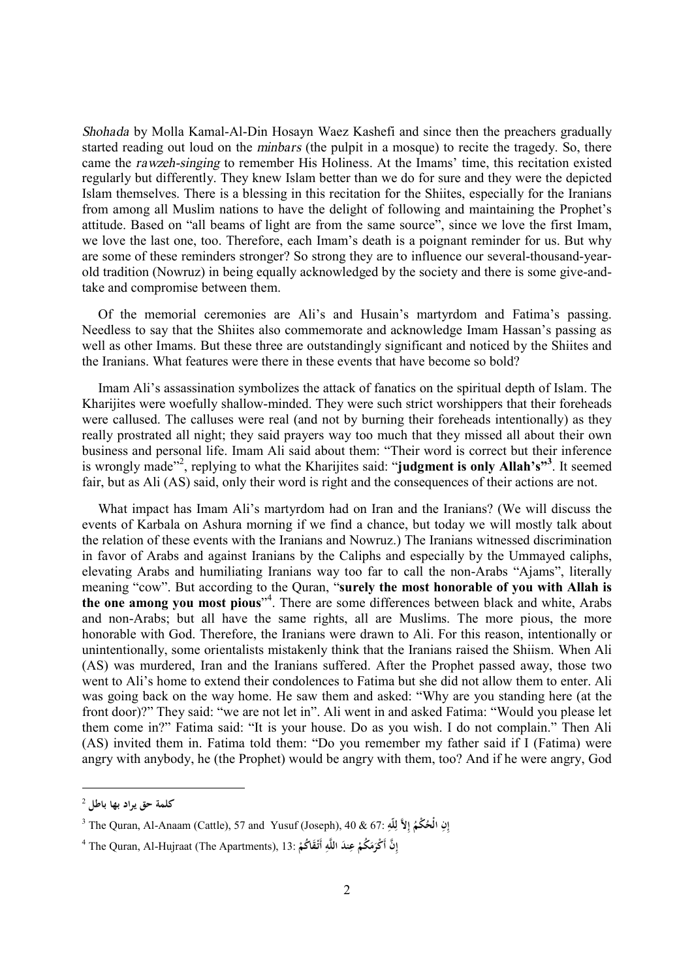*Shohada* by Molla Kamal-Al-Din Hosayn Waez Kashefi and since then the preachers gradually started reading out loud on the *minbars* (the pulpit in a mosque) to recite the tragedy. So, there came the *rawzeh-singing* to remember His Holiness. At the Imams' time, this recitation existed regularly but differently. They knew Islam better than we do for sure and they were the depicted Islam themselves. There is a blessing in this recitation for the Shiites, especially for the Iranians from among all Muslim nations to have the delight of following and maintaining the Prophet's attitude. Based on "all beams of light are from the same source", since we love the first Imam, we love the last one, too. Therefore, each Imam's death is a poignant reminder for us. But why are some of these reminders stronger? So strong they are to influence our several-thousand-yearold tradition (Nowruz) in being equally acknowledged by the society and there is some give-andtake and compromise between them.

Of the memorial ceremonies are Ali's and Husain's martyrdom and Fatima's passing. Needless to say that the Shiites also commemorate and acknowledge Imam Hassan's passing as well as other Imams. But these three are outstandingly significant and noticed by the Shiites and the Iranians. What features were there in these events that have become so bold?

Imam Ali's assassination symbolizes the attack of fanatics on the spiritual depth of Islam. The Kharijites were woefully shallow-minded. They were such strict worshippers that their foreheads were callused. The calluses were real (and not by burning their foreheads intentionally) as they really prostrated all night; they said prayers way too much that they missed all about their own business and personal life. Imam Ali said about them: "Their word is correct but their inference is wrongly made<sup>"2</sup>, replying to what the Kharijites said: "judgment is only Allah's"<sup>3</sup>. It seemed fair, but as Ali (AS) said, only their word is right and the consequences of their actions are not.

What impact has Imam Ali's martyrdom had on Iran and the Iranians? (We will discuss the events of Karbala on Ashura morning if we find a chance, but today we will mostly talk about the relation of these events with the Iranians and Nowruz.) The Iranians witnessed discrimination in favor of Arabs and against Iranians by the Caliphs and especially by the Ummayed caliphs, elevating Arabs and humiliating Iranians way too far to call the non-Arabs "Ajams", literally meaning "cow". But according to the Quran, "**surely the most honorable of you with Allah is the one among you most pious**" 4 . There are some differences between black and white, Arabs and non-Arabs; but all have the same rights, all are Muslims. The more pious, the more honorable with God. Therefore, the Iranians were drawn to Ali. For this reason, intentionally or unintentionally, some orientalists mistakenly think that the Iranians raised the Shiism. When Ali (AS) was murdered, Iran and the Iranians suffered. After the Prophet passed away, those two went to Ali's home to extend their condolences to Fatima but she did not allow them to enter. Ali was going back on the way home. He saw them and asked: "Why are you standing here (at the front door)?" They said: "we are not let in". Ali went in and asked Fatima: "Would you please let them come in?" Fatima said: "It is your house. Do as you wish. I do not complain." Then Ali (AS) invited them in. Fatima told them: "Do you remember my father said if I (Fatima) were angry with anybody, he (the Prophet) would be angry with them, too? And if he were angry, God

 $\overline{a}$ 

<sup>2</sup> **كلمة حق يراد بها باطل**

<sup>3</sup> The Quran, Al-Anaam (Cattle), <sup>57</sup> and Yusuf (Joseph), 40 & 67: **ِنِ ُ ْكم ُ ِ الْح لاَّ لّه إ إ ِ ِ ل**

<sup>4</sup> The Quran, Al-Hujraat (The Apartments), 13: **َّن ِ ُكم م ند أَ ْكر عِ ه اللَّ ْ َق ُاكم أَتـإ ْ َ َ َ ِ ْ**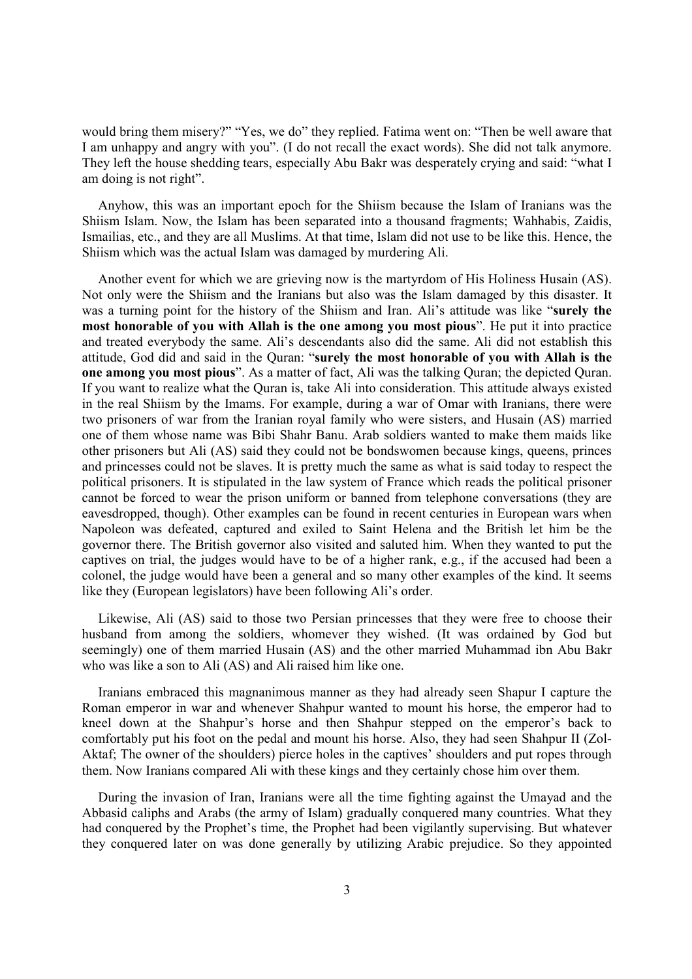would bring them misery?" "Yes, we do" they replied. Fatima went on: "Then be well aware that I am unhappy and angry with you". (I do not recall the exact words). She did not talk anymore. They left the house shedding tears, especially Abu Bakr was desperately crying and said: "what I am doing is not right".

Anyhow, this was an important epoch for the Shiism because the Islam of Iranians was the Shiism Islam. Now, the Islam has been separated into a thousand fragments; Wahhabis, Zaidis, Ismailias, etc., and they are all Muslims. At that time, Islam did not use to be like this. Hence, the Shiism which was the actual Islam was damaged by murdering Ali.

Another event for which we are grieving now is the martyrdom of His Holiness Husain (AS). Not only were the Shiism and the Iranians but also was the Islam damaged by this disaster. It was a turning point for the history of the Shiism and Iran. Ali's attitude was like "**surely the most honorable of you with Allah is the one among you most pious**". He put it into practice and treated everybody the same. Ali's descendants also did the same. Ali did not establish this attitude, God did and said in the Quran: "**surely the most honorable of you with Allah is the one among you most pious**". As a matter of fact, Ali was the talking Quran; the depicted Quran. If you want to realize what the Quran is, take Ali into consideration. This attitude always existed in the real Shiism by the Imams. For example, during a war of Omar with Iranians, there were two prisoners of war from the Iranian royal family who were sisters, and Husain (AS) married one of them whose name was Bibi Shahr Banu. Arab soldiers wanted to make them maids like other prisoners but Ali (AS) said they could not be bondswomen because kings, queens, princes and princesses could not be slaves. It is pretty much the same as what is said today to respect the political prisoners. It is stipulated in the law system of France which reads the political prisoner cannot be forced to wear the prison uniform or banned from telephone conversations (they are eavesdropped, though). Other examples can be found in recent centuries in European wars when Napoleon was defeated, captured and exiled to Saint Helena and the British let him be the governor there. The British governor also visited and saluted him. When they wanted to put the captives on trial, the judges would have to be of a higher rank, e.g., if the accused had been a colonel, the judge would have been a general and so many other examples of the kind. It seems like they (European legislators) have been following Ali's order.

Likewise, Ali (AS) said to those two Persian princesses that they were free to choose their husband from among the soldiers, whomever they wished. (It was ordained by God but seemingly) one of them married Husain (AS) and the other married Muhammad ibn Abu Bakr who was like a son to Ali (AS) and Ali raised him like one.

Iranians embraced this magnanimous manner as they had already seen Shapur I capture the Roman emperor in war and whenever Shahpur wanted to mount his horse, the emperor had to kneel down at the Shahpur's horse and then Shahpur stepped on the emperor's back to comfortably put his foot on the pedal and mount his horse. Also, they had seen Shahpur II (Zol-Aktaf; The owner of the shoulders) pierce holes in the captives' shoulders and put ropes through them. Now Iranians compared Ali with these kings and they certainly chose him over them.

During the invasion of Iran, Iranians were all the time fighting against the Umayad and the Abbasid caliphs and Arabs (the army of Islam) gradually conquered many countries. What they had conquered by the Prophet's time, the Prophet had been vigilantly supervising. But whatever they conquered later on was done generally by utilizing Arabic prejudice. So they appointed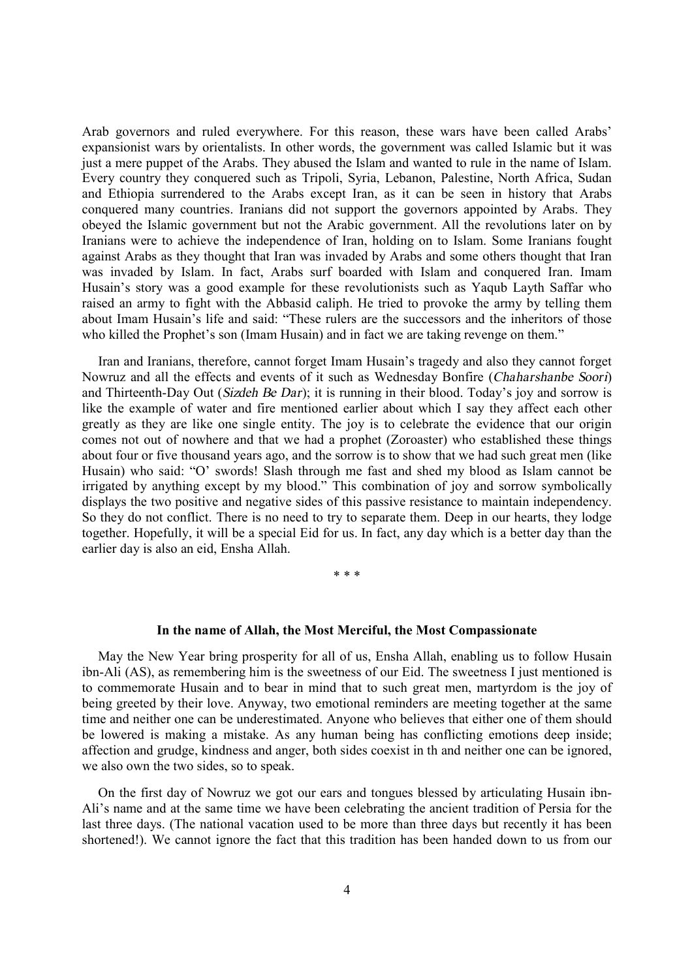Arab governors and ruled everywhere. For this reason, these wars have been called Arabs' expansionist wars by orientalists. In other words, the government was called Islamic but it was just a mere puppet of the Arabs. They abused the Islam and wanted to rule in the name of Islam. Every country they conquered such as Tripoli, Syria, Lebanon, Palestine, North Africa, Sudan and Ethiopia surrendered to the Arabs except Iran, as it can be seen in history that Arabs conquered many countries. Iranians did not support the governors appointed by Arabs. They obeyed the Islamic government but not the Arabic government. All the revolutions later on by Iranians were to achieve the independence of Iran, holding on to Islam. Some Iranians fought against Arabs as they thought that Iran was invaded by Arabs and some others thought that Iran was invaded by Islam. In fact, Arabs surf boarded with Islam and conquered Iran. Imam Husain's story was a good example for these revolutionists such as Yaqub Layth Saffar who raised an army to fight with the Abbasid caliph. He tried to provoke the army by telling them about Imam Husain's life and said: "These rulers are the successors and the inheritors of those who killed the Prophet's son (Imam Husain) and in fact we are taking revenge on them."

Iran and Iranians, therefore, cannot forget Imam Husain's tragedy and also they cannot forget Nowruz and all the effects and events of it such as Wednesday Bonfire (*Chaharshanbe Soori*) and Thirteenth-Day Out (*Sizdeh Be Dar*); it is running in their blood. Today's joy and sorrow is like the example of water and fire mentioned earlier about which I say they affect each other greatly as they are like one single entity. The joy is to celebrate the evidence that our origin comes not out of nowhere and that we had a prophet (Zoroaster) who established these things about four or five thousand years ago, and the sorrow is to show that we had such great men (like Husain) who said: "O' swords! Slash through me fast and shed my blood as Islam cannot be irrigated by anything except by my blood." This combination of joy and sorrow symbolically displays the two positive and negative sides of this passive resistance to maintain independency. So they do not conflict. There is no need to try to separate them. Deep in our hearts, they lodge together. Hopefully, it will be a special Eid for us. In fact, any day which is a better day than the earlier day is also an eid, Ensha Allah.

\* \* \*

## **In the name of Allah, the Most Merciful, the Most Compassionate**

May the New Year bring prosperity for all of us, Ensha Allah, enabling us to follow Husain ibn-Ali (AS), as remembering him is the sweetness of our Eid. The sweetness I just mentioned is to commemorate Husain and to bear in mind that to such great men, martyrdom is the joy of being greeted by their love. Anyway, two emotional reminders are meeting together at the same time and neither one can be underestimated. Anyone who believes that either one of them should be lowered is making a mistake. As any human being has conflicting emotions deep inside; affection and grudge, kindness and anger, both sides coexist in th and neither one can be ignored, we also own the two sides, so to speak.

On the first day of Nowruz we got our ears and tongues blessed by articulating Husain ibn-Ali's name and at the same time we have been celebrating the ancient tradition of Persia for the last three days. (The national vacation used to be more than three days but recently it has been shortened!). We cannot ignore the fact that this tradition has been handed down to us from our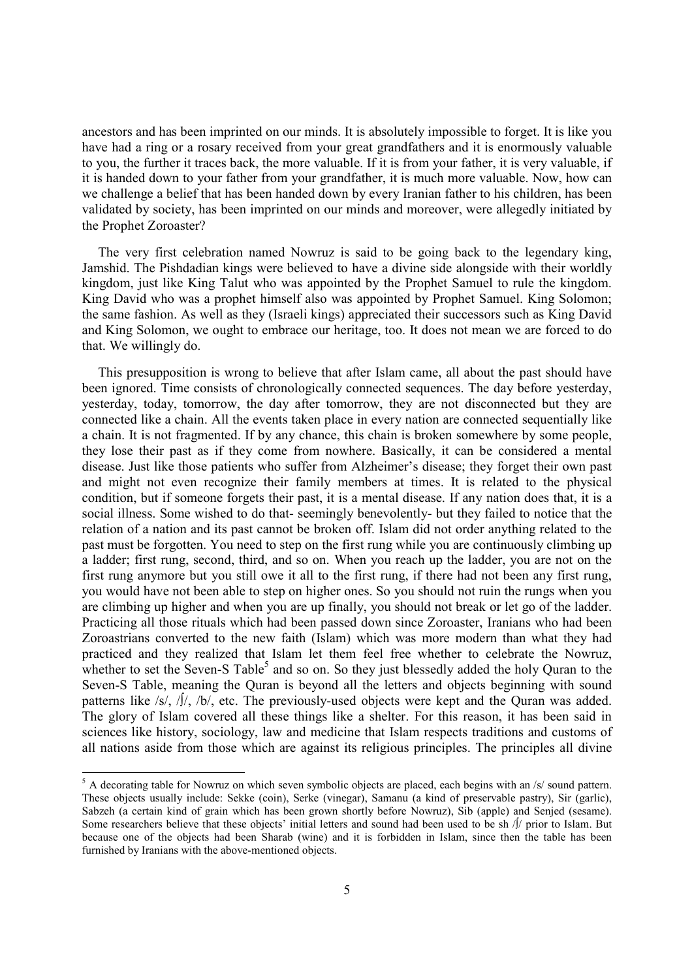ancestors and has been imprinted on our minds. It is absolutely impossible to forget. It is like you have had a ring or a rosary received from your great grandfathers and it is enormously valuable to you, the further it traces back, the more valuable. If it is from your father, it is very valuable, if it is handed down to your father from your grandfather, it is much more valuable. Now, how can we challenge a belief that has been handed down by every Iranian father to his children, has been validated by society, has been imprinted on our minds and moreover, were allegedly initiated by the Prophet Zoroaster?

The very first celebration named Nowruz is said to be going back to the legendary king, Jamshid. The Pishdadian kings were believed to have a divine side alongside with their worldly kingdom, just like King Talut who was appointed by the Prophet Samuel to rule the kingdom. King David who was a prophet himself also was appointed by Prophet Samuel. King Solomon; the same fashion. As well as they (Israeli kings) appreciated their successors such as King David and King Solomon, we ought to embrace our heritage, too. It does not mean we are forced to do that. We willingly do.

This presupposition is wrong to believe that after Islam came, all about the past should have been ignored. Time consists of chronologically connected sequences. The day before yesterday, yesterday, today, tomorrow, the day after tomorrow, they are not disconnected but they are connected like a chain. All the events taken place in every nation are connected sequentially like a chain. It is not fragmented. If by any chance, this chain is broken somewhere by some people, they lose their past as if they come from nowhere. Basically, it can be considered a mental disease. Just like those patients who suffer from Alzheimer's disease; they forget their own past and might not even recognize their family members at times. It is related to the physical condition, but if someone forgets their past, it is a mental disease. If any nation does that, it is a social illness. Some wished to do that- seemingly benevolently- but they failed to notice that the relation of a nation and its past cannot be broken off. Islam did not order anything related to the past must be forgotten. You need to step on the first rung while you are continuously climbing up a ladder; first rung, second, third, and so on. When you reach up the ladder, you are not on the first rung anymore but you still owe it all to the first rung, if there had not been any first rung, you would have not been able to step on higher ones. So you should not ruin the rungs when you are climbing up higher and when you are up finally, you should not break or let go of the ladder. Practicing all those rituals which had been passed down since Zoroaster, Iranians who had been Zoroastrians converted to the new faith (Islam) which was more modern than what they had practiced and they realized that Islam let them feel free whether to celebrate the Nowruz, whether to set the Seven-S Table<sup>5</sup> and so on. So they just blessedly added the holy Quran to the Seven-S Table, meaning the Quran is beyond all the letters and objects beginning with sound patterns like /s/, /∫/, /b/, etc. The previously-used objects were kept and the Quran was added. The glory of Islam covered all these things like a shelter. For this reason, it has been said in sciences like history, sociology, law and medicine that Islam respects traditions and customs of all nations aside from those which are against its religious principles. The principles all divine

 $\overline{a}$ 

 $5$  A decorating table for Nowruz on which seven symbolic objects are placed, each begins with an /s/ sound pattern. These objects usually include: Sekke (coin), Serke (vinegar), Samanu (a kind of preservable pastry), Sir (garlic), Sabzeh (a certain kind of grain which has been grown shortly before Nowruz), Sib (apple) and Senjed (sesame). Some researchers believe that these objects' initial letters and sound had been used to be sh /∫/ prior to Islam. But because one of the objects had been Sharab (wine) and it is forbidden in Islam, since then the table has been furnished by Iranians with the above-mentioned objects.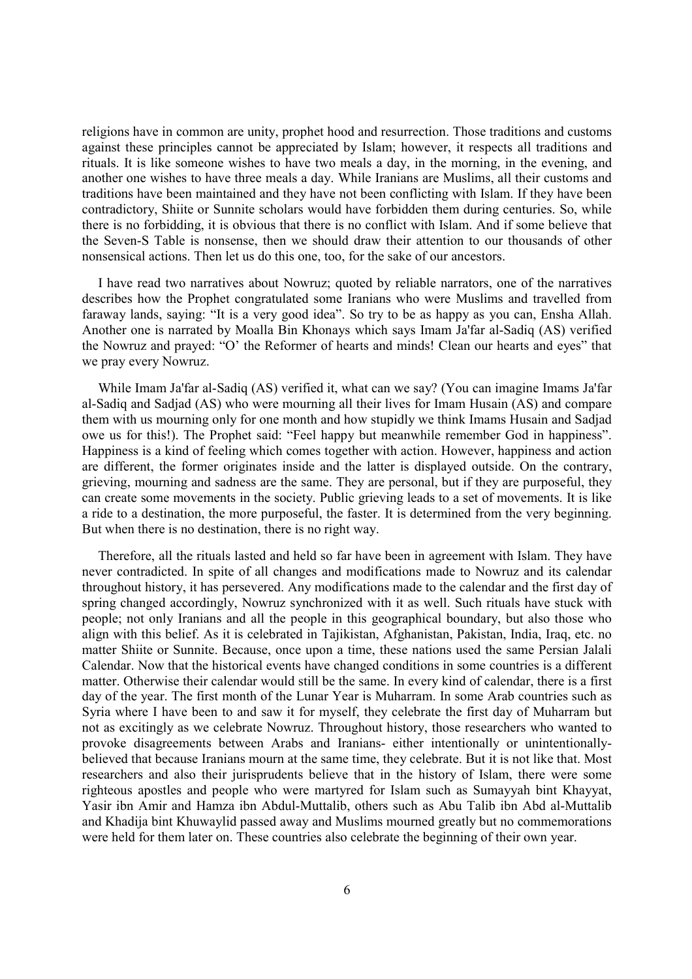religions have in common are unity, prophet hood and resurrection. Those traditions and customs against these principles cannot be appreciated by Islam; however, it respects all traditions and rituals. It is like someone wishes to have two meals a day, in the morning, in the evening, and another one wishes to have three meals a day. While Iranians are Muslims, all their customs and traditions have been maintained and they have not been conflicting with Islam. If they have been contradictory, Shiite or Sunnite scholars would have forbidden them during centuries. So, while there is no forbidding, it is obvious that there is no conflict with Islam. And if some believe that the Seven-S Table is nonsense, then we should draw their attention to our thousands of other nonsensical actions. Then let us do this one, too, for the sake of our ancestors.

I have read two narratives about Nowruz; quoted by reliable narrators, one of the narratives describes how the Prophet congratulated some Iranians who were Muslims and travelled from faraway lands, saying: "It is a very good idea". So try to be as happy as you can, Ensha Allah. Another one is narrated by Moalla Bin Khonays which says Imam Ja'far al-Sadiq (AS) verified the Nowruz and prayed: "O' the Reformer of hearts and minds! Clean our hearts and eyes" that we pray every Nowruz.

While Imam Ja'far al-Sadiq (AS) verified it, what can we say? (You can imagine Imams Ja'far al-Sadiq and Sadjad (AS) who were mourning all their lives for Imam Husain (AS) and compare them with us mourning only for one month and how stupidly we think Imams Husain and Sadjad owe us for this!). The Prophet said: "Feel happy but meanwhile remember God in happiness". Happiness is a kind of feeling which comes together with action. However, happiness and action are different, the former originates inside and the latter is displayed outside. On the contrary, grieving, mourning and sadness are the same. They are personal, but if they are purposeful, they can create some movements in the society. Public grieving leads to a set of movements. It is like a ride to a destination, the more purposeful, the faster. It is determined from the very beginning. But when there is no destination, there is no right way.

Therefore, all the rituals lasted and held so far have been in agreement with Islam. They have never contradicted. In spite of all changes and modifications made to Nowruz and its calendar throughout history, it has persevered. Any modifications made to the calendar and the first day of spring changed accordingly, Nowruz synchronized with it as well. Such rituals have stuck with people; not only Iranians and all the people in this geographical boundary, but also those who align with this belief. As it is celebrated in Tajikistan, Afghanistan, Pakistan, India, Iraq, etc. no matter Shiite or Sunnite. Because, once upon a time, these nations used the same Persian Jalali Calendar. Now that the historical events have changed conditions in some countries is a different matter. Otherwise their calendar would still be the same. In every kind of calendar, there is a first day of the year. The first month of the Lunar Year is Muharram. In some Arab countries such as Syria where I have been to and saw it for myself, they celebrate the first day of Muharram but not as excitingly as we celebrate Nowruz. Throughout history, those researchers who wanted to provoke disagreements between Arabs and Iranians- either intentionally or unintentionallybelieved that because Iranians mourn at the same time, they celebrate. But it is not like that. Most researchers and also their jurisprudents believe that in the history of Islam, there were some righteous apostles and people who were martyred for Islam such as Sumayyah bint Khayyat, Yasir ibn Amir and Hamza ibn Abdul-Muttalib, others such as Abu Talib ibn Abd al-Muttalib and Khadija bint Khuwaylid passed away and Muslims mourned greatly but no commemorations were held for them later on. These countries also celebrate the beginning of their own year.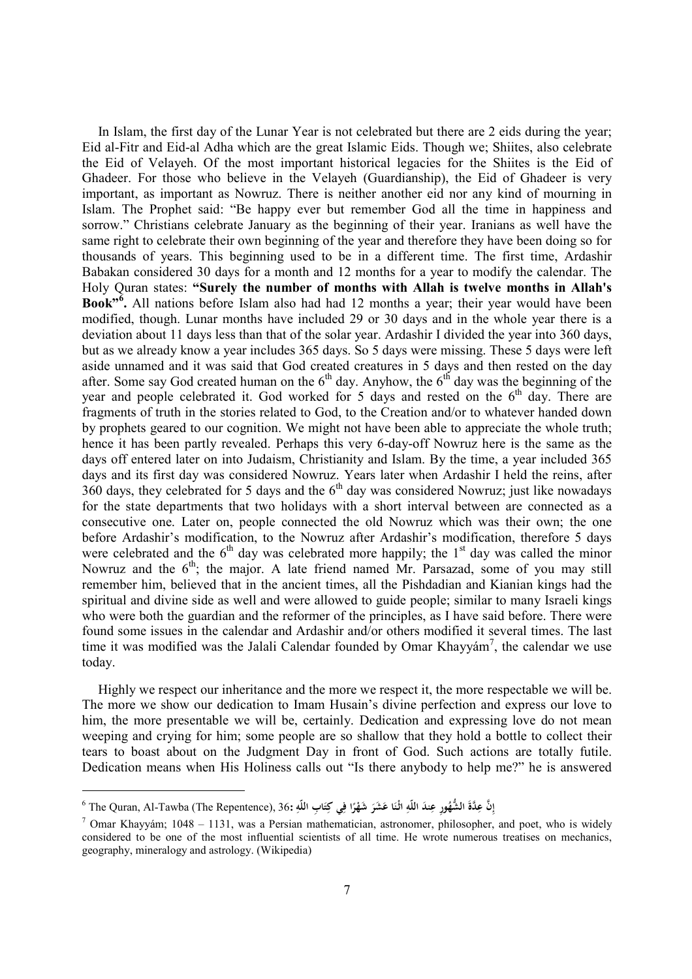In Islam, the first day of the Lunar Year is not celebrated but there are 2 eids during the year; Eid al-Fitr and Eid-al Adha which are the great Islamic Eids. Though we; Shiites, also celebrate the Eid of Velayeh. Of the most important historical legacies for the Shiites is the Eid of Ghadeer. For those who believe in the Velayeh (Guardianship), the Eid of Ghadeer is very important, as important as Nowruz. There is neither another eid nor any kind of mourning in Islam. The Prophet said: "Be happy ever but remember God all the time in happiness and sorrow." Christians celebrate January as the beginning of their year. Iranians as well have the same right to celebrate their own beginning of the year and therefore they have been doing so for thousands of years. This beginning used to be in a different time. The first time, Ardashir Babakan considered 30 days for a month and 12 months for a year to modify the calendar. The Holy Quran states: **"Surely the number of months with Allah is twelve months in Allah's Book" 6 .** All nations before Islam also had had 12 months a year; their year would have been modified, though. Lunar months have included 29 or 30 days and in the whole year there is a deviation about 11 days less than that of the solar year. Ardashir I divided the year into 360 days, but as we already know a year includes 365 days. So 5 days were missing. These 5 days were left aside unnamed and it was said that God created creatures in 5 days and then rested on the day after. Some say God created human on the  $6<sup>th</sup>$  day. Anyhow, the  $6<sup>th</sup>$  day was the beginning of the year and people celebrated it. God worked for 5 days and rested on the  $6<sup>th</sup>$  day. There are fragments of truth in the stories related to God, to the Creation and/or to whatever handed down by prophets geared to our cognition. We might not have been able to appreciate the whole truth; hence it has been partly revealed. Perhaps this very 6-day-off Nowruz here is the same as the days off entered later on into Judaism, Christianity and Islam. By the time, a year included 365 days and its first day was considered Nowruz. Years later when Ardashir I held the reins, after 360 days, they celebrated for 5 days and the 6th day was considered Nowruz; just like nowadays for the state departments that two holidays with a short interval between are connected as a consecutive one. Later on, people connected the old Nowruz which was their own; the one before Ardashir's modification, to the Nowruz after Ardashir's modification, therefore 5 days were celebrated and the  $6<sup>th</sup>$  day was celebrated more happily; the 1<sup>st</sup> day was called the minor Nowruz and the  $6<sup>th</sup>$ ; the major. A late friend named Mr. Parsazad, some of you may still remember him, believed that in the ancient times, all the Pishdadian and Kianian kings had the spiritual and divine side as well and were allowed to guide people; similar to many Israeli kings who were both the guardian and the reformer of the principles, as I have said before. There were found some issues in the calendar and Ardashir and/or others modified it several times. The last time it was modified was the Jalali Calendar founded by Omar Khayyám<sup>7</sup>, the calendar we use today.

Highly we respect our inheritance and the more we respect it, the more respectable we will be. The more we show our dedication to Imam Husain's divine perfection and express our love to him, the more presentable we will be, certainly. Dedication and expressing love do not mean weeping and crying for him; some people are so shallow that they hold a bottle to collect their tears to boast about on the Judgment Day in front of God. Such actions are totally futile. Dedication means when His Holiness calls out "Is there anybody to help me?" he is answered

l

إِنَّ عِدَّةَ الشُّهُورِ عِندَ اللَّهِ اثْنَا عَشَرَ شَهْرًا فِي كِتَابِ اللَّهِ :36, The Quran, Al-Tawba (The Repentence), 36 ``<br>-**ِ َ ِ َ َ ً ِ َ ِ**

<sup>&</sup>lt;sup>7</sup> Omar Khayyám; 1048 – 1131, was a Persian mathematician, astronomer, philosopher, and poet, who is widely considered to be one of the most influential scientists of all time. He wrote numerous treatises on mechanics, geography, mineralogy and astrology. (Wikipedia)